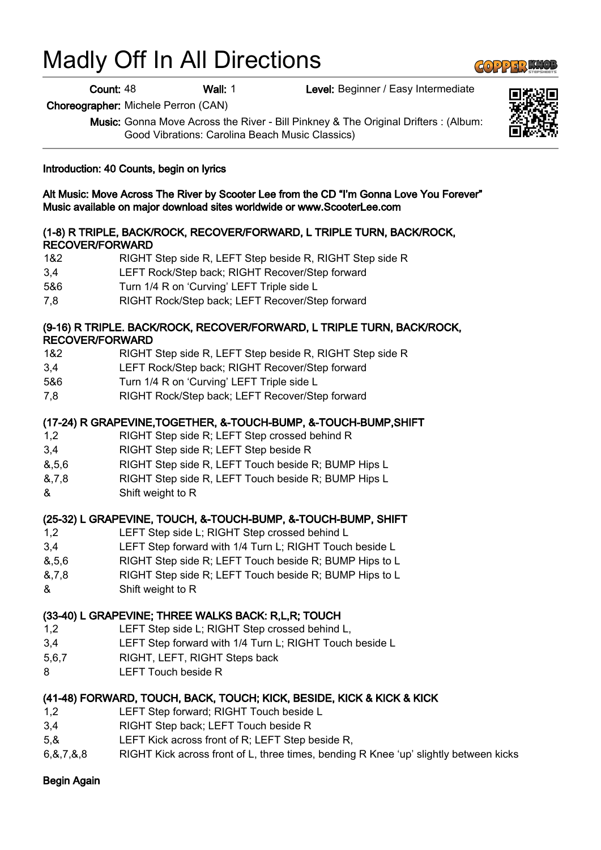# Madly Off In All Directions

Count: 48 Wall: 1 Level: Beginner / Easy Intermediate

Choreographer: Michele Perron (CAN)

Music: Gonna Move Across the River - Bill Pinkney & The Original Drifters : (Album: Good Vibrations: Carolina Beach Music Classics)

## Introduction: 40 Counts, begin on lyrics

Alt Music: Move Across The River by Scooter Lee from the CD "I'm Gonna Love You Forever" Music available on major download sites worldwide or www.ScooterLee.com

## (1-8) R TRIPLE, BACK/ROCK, RECOVER/FORWARD, L TRIPLE TURN, BACK/ROCK, RECOVER/FORWARD

- 1&2 RIGHT Step side R, LEFT Step beside R, RIGHT Step side R
- 3,4 LEFT Rock/Step back; RIGHT Recover/Step forward
- 5&6 Turn 1/4 R on 'Curving' LEFT Triple side L
- 7,8 RIGHT Rock/Step back; LEFT Recover/Step forward

## (9-16) R TRIPLE. BACK/ROCK, RECOVER/FORWARD, L TRIPLE TURN, BACK/ROCK, RECOVER/FORWARD

- 1&2 RIGHT Step side R, LEFT Step beside R, RIGHT Step side R
- 3,4 LEFT Rock/Step back; RIGHT Recover/Step forward
- 5&6 Turn 1/4 R on 'Curving' LEFT Triple side L
- 7,8 RIGHT Rock/Step back; LEFT Recover/Step forward

## (17-24) R GRAPEVINE,TOGETHER, &-TOUCH-BUMP, &-TOUCH-BUMP,SHIFT

- 1,2 RIGHT Step side R; LEFT Step crossed behind R
- 3,4 RIGHT Step side R; LEFT Step beside R
- &,5,6 RIGHT Step side R, LEFT Touch beside R; BUMP Hips L
- &,7,8 RIGHT Step side R, LEFT Touch beside R; BUMP Hips L
- & Shift weight to R

## (25-32) L GRAPEVINE, TOUCH, &-TOUCH-BUMP, &-TOUCH-BUMP, SHIFT

- 1,2 LEFT Step side L; RIGHT Step crossed behind L
- 3,4 LEFT Step forward with 1/4 Turn L; RIGHT Touch beside L
- &,5,6 RIGHT Step side R; LEFT Touch beside R; BUMP Hips to L
- &,7,8 RIGHT Step side R; LEFT Touch beside R; BUMP Hips to L
- & Shift weight to R

## (33-40) L GRAPEVINE; THREE WALKS BACK: R,L,R; TOUCH

- 1,2 LEFT Step side L; RIGHT Step crossed behind L,
- 3,4 LEFT Step forward with 1/4 Turn L; RIGHT Touch beside L
- 5,6,7 RIGHT, LEFT, RIGHT Steps back
- 8 LEFT Touch beside R

## (41-48) FORWARD, TOUCH, BACK, TOUCH; KICK, BESIDE, KICK & KICK & KICK

- 1,2 LEFT Step forward; RIGHT Touch beside L
- 3,4 RIGHT Step back; LEFT Touch beside R
- 5,& LEFT Kick across front of R; LEFT Step beside R,
- 6,&,7,&,8 RIGHT Kick across front of L, three times, bending R Knee 'up' slightly between kicks

## Begin Again